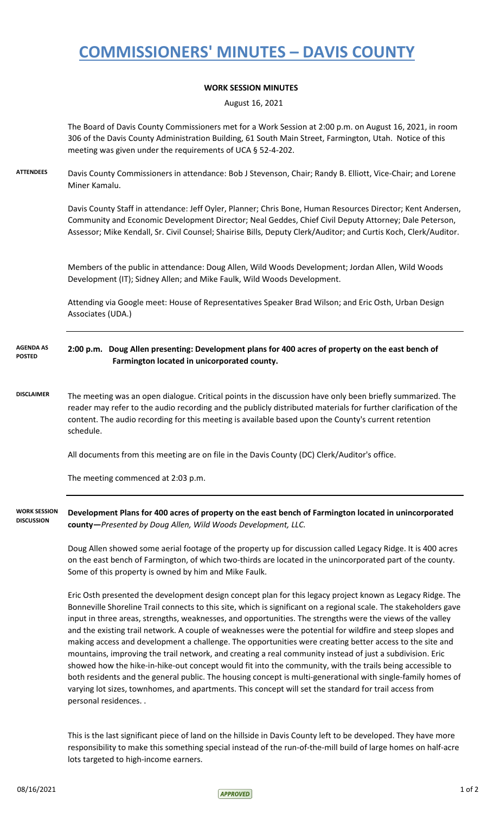## **COMMISSIONERS' MINUTES – DAVIS COUNTY**

## **WORK SESSION MINUTES**

August 16, 2021

|                                          | The Board of Davis County Commissioners met for a Work Session at 2:00 p.m. on August 16, 2021, in room<br>306 of the Davis County Administration Building, 61 South Main Street, Farmington, Utah. Notice of this<br>meeting was given under the requirements of UCA § 52-4-202.                                                                                                                                                                                                                                                                                                                                                                                                                                                                                                                                                                                                                                                                                                                                                                   |
|------------------------------------------|-----------------------------------------------------------------------------------------------------------------------------------------------------------------------------------------------------------------------------------------------------------------------------------------------------------------------------------------------------------------------------------------------------------------------------------------------------------------------------------------------------------------------------------------------------------------------------------------------------------------------------------------------------------------------------------------------------------------------------------------------------------------------------------------------------------------------------------------------------------------------------------------------------------------------------------------------------------------------------------------------------------------------------------------------------|
| <b>ATTENDEES</b>                         | Davis County Commissioners in attendance: Bob J Stevenson, Chair; Randy B. Elliott, Vice-Chair; and Lorene<br>Miner Kamalu.                                                                                                                                                                                                                                                                                                                                                                                                                                                                                                                                                                                                                                                                                                                                                                                                                                                                                                                         |
|                                          | Davis County Staff in attendance: Jeff Oyler, Planner; Chris Bone, Human Resources Director; Kent Andersen,<br>Community and Economic Development Director; Neal Geddes, Chief Civil Deputy Attorney; Dale Peterson,<br>Assessor; Mike Kendall, Sr. Civil Counsel; Shairise Bills, Deputy Clerk/Auditor; and Curtis Koch, Clerk/Auditor.                                                                                                                                                                                                                                                                                                                                                                                                                                                                                                                                                                                                                                                                                                            |
|                                          | Members of the public in attendance: Doug Allen, Wild Woods Development; Jordan Allen, Wild Woods<br>Development (IT); Sidney Allen; and Mike Faulk, Wild Woods Development.                                                                                                                                                                                                                                                                                                                                                                                                                                                                                                                                                                                                                                                                                                                                                                                                                                                                        |
|                                          | Attending via Google meet: House of Representatives Speaker Brad Wilson; and Eric Osth, Urban Design<br>Associates (UDA.)                                                                                                                                                                                                                                                                                                                                                                                                                                                                                                                                                                                                                                                                                                                                                                                                                                                                                                                           |
| <b>AGENDA AS</b><br><b>POSTED</b>        | 2:00 p.m. Doug Allen presenting: Development plans for 400 acres of property on the east bench of<br>Farmington located in unicorporated county.                                                                                                                                                                                                                                                                                                                                                                                                                                                                                                                                                                                                                                                                                                                                                                                                                                                                                                    |
| <b>DISCLAIMER</b>                        | The meeting was an open dialogue. Critical points in the discussion have only been briefly summarized. The<br>reader may refer to the audio recording and the publicly distributed materials for further clarification of the<br>content. The audio recording for this meeting is available based upon the County's current retention<br>schedule.                                                                                                                                                                                                                                                                                                                                                                                                                                                                                                                                                                                                                                                                                                  |
|                                          | All documents from this meeting are on file in the Davis County (DC) Clerk/Auditor's office.                                                                                                                                                                                                                                                                                                                                                                                                                                                                                                                                                                                                                                                                                                                                                                                                                                                                                                                                                        |
|                                          | The meeting commenced at 2:03 p.m.                                                                                                                                                                                                                                                                                                                                                                                                                                                                                                                                                                                                                                                                                                                                                                                                                                                                                                                                                                                                                  |
| <b>WORK SESSION</b><br><b>DISCUSSION</b> | Development Plans for 400 acres of property on the east bench of Farmington located in unincorporated<br>county-Presented by Doug Allen, Wild Woods Development, LLC.                                                                                                                                                                                                                                                                                                                                                                                                                                                                                                                                                                                                                                                                                                                                                                                                                                                                               |
|                                          | Doug Allen showed some aerial footage of the property up for discussion called Legacy Ridge. It is 400 acres<br>on the east bench of Farmington, of which two-thirds are located in the unincorporated part of the county.<br>Some of this property is owned by him and Mike Faulk.                                                                                                                                                                                                                                                                                                                                                                                                                                                                                                                                                                                                                                                                                                                                                                 |
|                                          | Eric Osth presented the development design concept plan for this legacy project known as Legacy Ridge. The<br>Bonneville Shoreline Trail connects to this site, which is significant on a regional scale. The stakeholders gave<br>input in three areas, strengths, weaknesses, and opportunities. The strengths were the views of the valley<br>and the existing trail network. A couple of weaknesses were the potential for wildfire and steep slopes and<br>making access and development a challenge. The opportunities were creating better access to the site and<br>mountains, improving the trail network, and creating a real community instead of just a subdivision. Eric<br>showed how the hike-in-hike-out concept would fit into the community, with the trails being accessible to<br>both residents and the general public. The housing concept is multi-generational with single-family homes of<br>varying lot sizes, townhomes, and apartments. This concept will set the standard for trail access from<br>personal residences |

This is the last significant piece of land on the hillside in Davis County left to be developed. They have more responsibility to make this something special instead of the run-of-the-mill build of large homes on half-acre lots targeted to high-income earners.